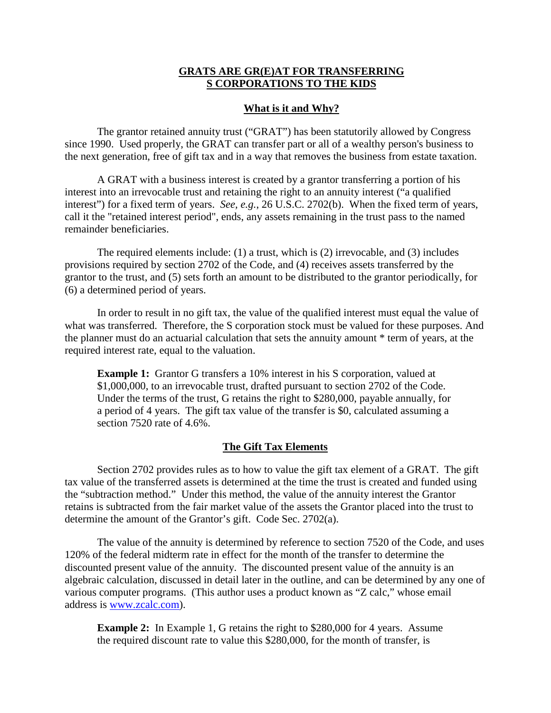## **GRATS ARE GR(E)AT FOR TRANSFERRING S CORPORATIONS TO THE KIDS**

### **What is it and Why?**

The grantor retained annuity trust ("GRAT") has been statutorily allowed by Congress since 1990. Used properly, the GRAT can transfer part or all of a wealthy person's business to the next generation, free of gift tax and in a way that removes the business from estate taxation.

A GRAT with a business interest is created by a grantor transferring a portion of his interest into an irrevocable trust and retaining the right to an annuity interest ("a qualified interest") for a fixed term of years. *See, e.g.*, 26 U.S.C. 2702(b). When the fixed term of years, call it the "retained interest period", ends, any assets remaining in the trust pass to the named remainder beneficiaries.

The required elements include: (1) a trust, which is (2) irrevocable, and (3) includes provisions required by section 2702 of the Code, and (4) receives assets transferred by the grantor to the trust, and (5) sets forth an amount to be distributed to the grantor periodically, for (6) a determined period of years.

In order to result in no gift tax, the value of the qualified interest must equal the value of what was transferred. Therefore, the S corporation stock must be valued for these purposes. And the planner must do an actuarial calculation that sets the annuity amount \* term of years, at the required interest rate, equal to the valuation.

**Example 1:** Grantor G transfers a 10% interest in his S corporation, valued at \$1,000,000, to an irrevocable trust, drafted pursuant to section 2702 of the Code. Under the terms of the trust, G retains the right to \$280,000, payable annually, for a period of 4 years. The gift tax value of the transfer is \$0, calculated assuming a section 7520 rate of 4.6%.

#### **The Gift Tax Elements**

Section 2702 provides rules as to how to value the gift tax element of a GRAT. The gift tax value of the transferred assets is determined at the time the trust is created and funded using the "subtraction method." Under this method, the value of the annuity interest the Grantor retains is subtracted from the fair market value of the assets the Grantor placed into the trust to determine the amount of the Grantor's gift. Code Sec. 2702(a).

The value of the annuity is determined by reference to section 7520 of the Code, and uses 120% of the federal midterm rate in effect for the month of the transfer to determine the discounted present value of the annuity. The discounted present value of the annuity is an algebraic calculation, discussed in detail later in the outline, and can be determined by any one of various computer programs. (This author uses a product known as "Z calc," whose email address is www.zcalc.com).

**Example 2:** In Example 1, G retains the right to \$280,000 for 4 years. Assume the required discount rate to value this \$280,000, for the month of transfer, is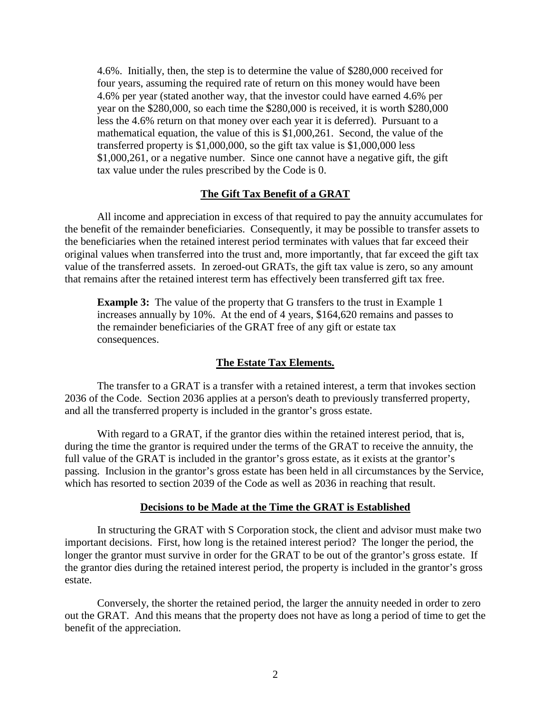4.6%. Initially, then, the step is to determine the value of \$280,000 received for four years, assuming the required rate of return on this money would have been 4.6% per year (stated another way, that the investor could have earned 4.6% per year on the \$280,000, so each time the \$280,000 is received, it is worth \$280,000 less the 4.6% return on that money over each year it is deferred). Pursuant to a mathematical equation, the value of this is \$1,000,261. Second, the value of the transferred property is \$1,000,000, so the gift tax value is \$1,000,000 less \$1,000,261, or a negative number. Since one cannot have a negative gift, the gift tax value under the rules prescribed by the Code is 0.

### **The Gift Tax Benefit of a GRAT**

All income and appreciation in excess of that required to pay the annuity accumulates for the benefit of the remainder beneficiaries. Consequently, it may be possible to transfer assets to the beneficiaries when the retained interest period terminates with values that far exceed their original values when transferred into the trust and, more importantly, that far exceed the gift tax value of the transferred assets. In zeroed-out GRATs, the gift tax value is zero, so any amount that remains after the retained interest term has effectively been transferred gift tax free.

**Example 3:** The value of the property that G transfers to the trust in Example 1 increases annually by 10%. At the end of 4 years, \$164,620 remains and passes to the remainder beneficiaries of the GRAT free of any gift or estate tax consequences.

### **The Estate Tax Elements.**

The transfer to a GRAT is a transfer with a retained interest, a term that invokes section 2036 of the Code. Section 2036 applies at a person's death to previously transferred property, and all the transferred property is included in the grantor's gross estate.

With regard to a GRAT, if the grantor dies within the retained interest period, that is, during the time the grantor is required under the terms of the GRAT to receive the annuity, the full value of the GRAT is included in the grantor's gross estate, as it exists at the grantor's passing. Inclusion in the grantor's gross estate has been held in all circumstances by the Service, which has resorted to section 2039 of the Code as well as 2036 in reaching that result.

#### **Decisions to be Made at the Time the GRAT is Established**

In structuring the GRAT with S Corporation stock, the client and advisor must make two important decisions. First, how long is the retained interest period? The longer the period, the longer the grantor must survive in order for the GRAT to be out of the grantor's gross estate. If the grantor dies during the retained interest period, the property is included in the grantor's gross estate.

Conversely, the shorter the retained period, the larger the annuity needed in order to zero out the GRAT. And this means that the property does not have as long a period of time to get the benefit of the appreciation.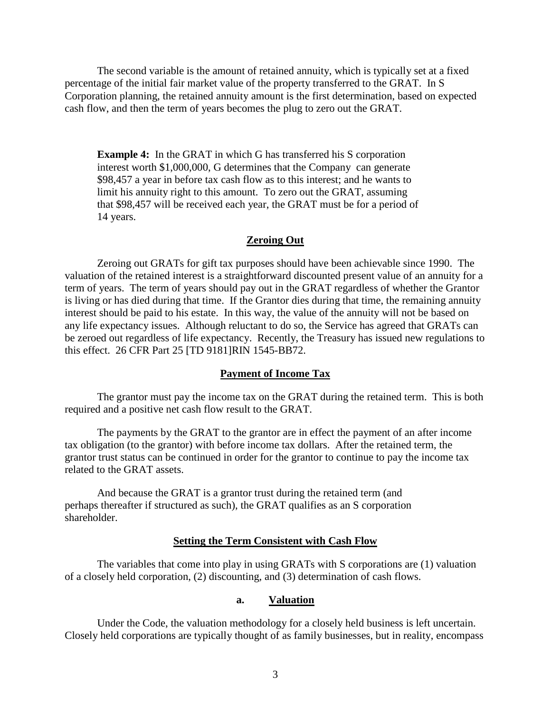The second variable is the amount of retained annuity, which is typically set at a fixed percentage of the initial fair market value of the property transferred to the GRAT. In S Corporation planning, the retained annuity amount is the first determination, based on expected cash flow, and then the term of years becomes the plug to zero out the GRAT.

**Example 4:** In the GRAT in which G has transferred his S corporation interest worth \$1,000,000, G determines that the Company can generate \$98,457 a year in before tax cash flow as to this interest; and he wants to limit his annuity right to this amount. To zero out the GRAT, assuming that \$98,457 will be received each year, the GRAT must be for a period of 14 years.

### **Zeroing Out**

Zeroing out GRATs for gift tax purposes should have been achievable since 1990. The valuation of the retained interest is a straightforward discounted present value of an annuity for a term of years. The term of years should pay out in the GRAT regardless of whether the Grantor is living or has died during that time. If the Grantor dies during that time, the remaining annuity interest should be paid to his estate. In this way, the value of the annuity will not be based on any life expectancy issues. Although reluctant to do so, the Service has agreed that GRATs can be zeroed out regardless of life expectancy. Recently, the Treasury has issued new regulations to this effect. 26 CFR Part 25 [TD 9181]RIN 1545-BB72.

### **Payment of Income Tax**

The grantor must pay the income tax on the GRAT during the retained term. This is both required and a positive net cash flow result to the GRAT.

The payments by the GRAT to the grantor are in effect the payment of an after income tax obligation (to the grantor) with before income tax dollars. After the retained term, the grantor trust status can be continued in order for the grantor to continue to pay the income tax related to the GRAT assets.

And because the GRAT is a grantor trust during the retained term (and perhaps thereafter if structured as such), the GRAT qualifies as an S corporation shareholder.

### **Setting the Term Consistent with Cash Flow**

The variables that come into play in using GRATs with S corporations are (1) valuation of a closely held corporation, (2) discounting, and (3) determination of cash flows.

#### **a. Valuation**

Under the Code, the valuation methodology for a closely held business is left uncertain. Closely held corporations are typically thought of as family businesses, but in reality, encompass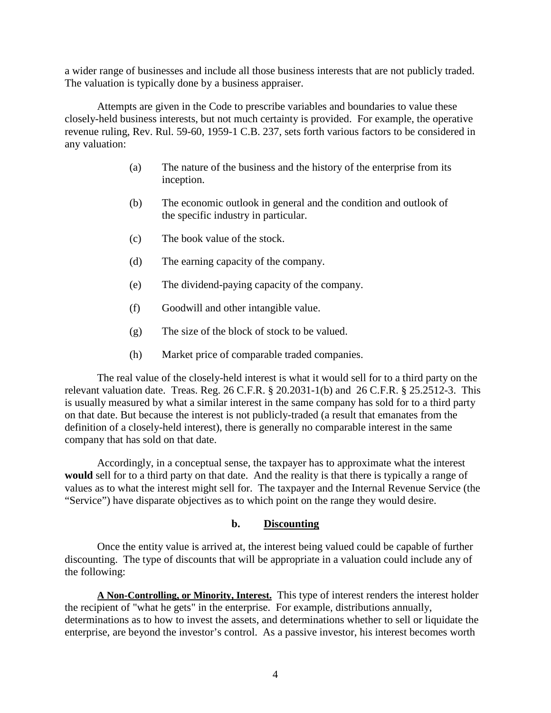a wider range of businesses and include all those business interests that are not publicly traded. The valuation is typically done by a business appraiser.

Attempts are given in the Code to prescribe variables and boundaries to value these closely-held business interests, but not much certainty is provided. For example, the operative revenue ruling, Rev. Rul. 59-60, 1959-1 C.B. 237, sets forth various factors to be considered in any valuation:

- (a) The nature of the business and the history of the enterprise from its inception.
- (b) The economic outlook in general and the condition and outlook of the specific industry in particular.
- (c) The book value of the stock.
- (d) The earning capacity of the company.
- (e) The dividend-paying capacity of the company.
- (f) Goodwill and other intangible value.
- (g) The size of the block of stock to be valued.
- (h) Market price of comparable traded companies.

The real value of the closely-held interest is what it would sell for to a third party on the relevant valuation date. Treas. Reg. 26 C.F.R. § 20.2031-1(b) and 26 C.F.R. § 25.2512-3. This is usually measured by what a similar interest in the same company has sold for to a third party on that date. But because the interest is not publicly-traded (a result that emanates from the definition of a closely-held interest), there is generally no comparable interest in the same company that has sold on that date.

Accordingly, in a conceptual sense, the taxpayer has to approximate what the interest **would** sell for to a third party on that date. And the reality is that there is typically a range of values as to what the interest might sell for. The taxpayer and the Internal Revenue Service (the "Service") have disparate objectives as to which point on the range they would desire.

## **b. Discounting**

Once the entity value is arrived at, the interest being valued could be capable of further discounting. The type of discounts that will be appropriate in a valuation could include any of the following:

**A Non-Controlling, or Minority, Interest.** This type of interest renders the interest holder the recipient of "what he gets" in the enterprise. For example, distributions annually, determinations as to how to invest the assets, and determinations whether to sell or liquidate the enterprise, are beyond the investor's control. As a passive investor, his interest becomes worth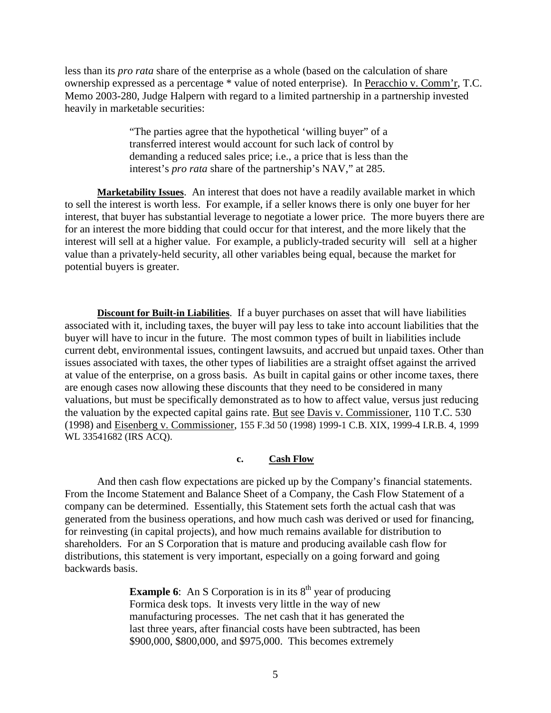less than its *pro rata* share of the enterprise as a whole (based on the calculation of share ownership expressed as a percentage \* value of noted enterprise). In Peracchio v. Comm'r, T.C. Memo 2003-280, Judge Halpern with regard to a limited partnership in a partnership invested heavily in marketable securities:

> "The parties agree that the hypothetical 'willing buyer" of a transferred interest would account for such lack of control by demanding a reduced sales price; i.e., a price that is less than the interest's *pro rata* share of the partnership's NAV," at 285.

**Marketability Issues**. An interest that does not have a readily available market in which to sell the interest is worth less. For example, if a seller knows there is only one buyer for her interest, that buyer has substantial leverage to negotiate a lower price. The more buyers there are for an interest the more bidding that could occur for that interest, and the more likely that the interest will sell at a higher value. For example, a publicly-traded security will sell at a higher value than a privately-held security, all other variables being equal, because the market for potential buyers is greater.

**Discount for Built-in Liabilities**. If a buyer purchases on asset that will have liabilities associated with it, including taxes, the buyer will pay less to take into account liabilities that the buyer will have to incur in the future. The most common types of built in liabilities include current debt, environmental issues, contingent lawsuits, and accrued but unpaid taxes. Other than issues associated with taxes, the other types of liabilities are a straight offset against the arrived at value of the enterprise, on a gross basis. As built in capital gains or other income taxes, there are enough cases now allowing these discounts that they need to be considered in many valuations, but must be specifically demonstrated as to how to affect value, versus just reducing the valuation by the expected capital gains rate. But see Davis v. Commissioner, 110 T.C. 530 (1998) and Eisenberg v. Commissioner, 155 F.3d 50 (1998) 1999-1 C.B. XIX, 1999-4 I.R.B. 4, 1999 WL 33541682 (IRS ACQ).

#### **c. Cash Flow**

And then cash flow expectations are picked up by the Company's financial statements. From the Income Statement and Balance Sheet of a Company, the Cash Flow Statement of a company can be determined. Essentially, this Statement sets forth the actual cash that was generated from the business operations, and how much cash was derived or used for financing, for reinvesting (in capital projects), and how much remains available for distribution to shareholders. For an S Corporation that is mature and producing available cash flow for distributions, this statement is very important, especially on a going forward and going backwards basis.

> **Example 6**: An S Corporation is in its  $8<sup>th</sup>$  year of producing Formica desk tops. It invests very little in the way of new manufacturing processes. The net cash that it has generated the last three years, after financial costs have been subtracted, has been \$900,000, \$800,000, and \$975,000. This becomes extremely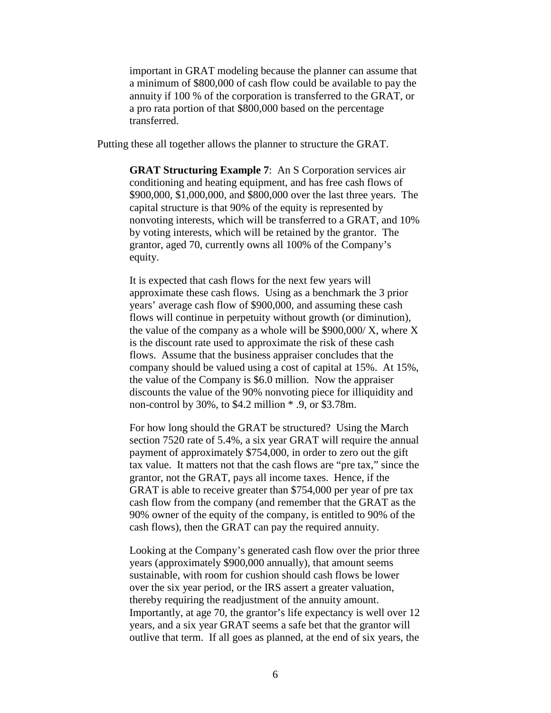important in GRAT modeling because the planner can assume that a minimum of \$800,000 of cash flow could be available to pay the annuity if 100 % of the corporation is transferred to the GRAT, or a pro rata portion of that \$800,000 based on the percentage transferred.

Putting these all together allows the planner to structure the GRAT.

**GRAT Structuring Example 7**: An S Corporation services air conditioning and heating equipment, and has free cash flows of \$900,000, \$1,000,000, and \$800,000 over the last three years. The capital structure is that 90% of the equity is represented by nonvoting interests, which will be transferred to a GRAT, and 10% by voting interests, which will be retained by the grantor. The grantor, aged 70, currently owns all 100% of the Company's equity.

It is expected that cash flows for the next few years will approximate these cash flows. Using as a benchmark the 3 prior years' average cash flow of \$900,000, and assuming these cash flows will continue in perpetuity without growth (or diminution), the value of the company as a whole will be  $$900,000/X$ , where X is the discount rate used to approximate the risk of these cash flows. Assume that the business appraiser concludes that the company should be valued using a cost of capital at 15%. At 15%, the value of the Company is \$6.0 million. Now the appraiser discounts the value of the 90% nonvoting piece for illiquidity and non-control by 30%, to \$4.2 million \* .9, or \$3.78m.

For how long should the GRAT be structured? Using the March section 7520 rate of 5.4%, a six year GRAT will require the annual payment of approximately \$754,000, in order to zero out the gift tax value. It matters not that the cash flows are "pre tax," since the grantor, not the GRAT, pays all income taxes. Hence, if the GRAT is able to receive greater than \$754,000 per year of pre tax cash flow from the company (and remember that the GRAT as the 90% owner of the equity of the company, is entitled to 90% of the cash flows), then the GRAT can pay the required annuity.

Looking at the Company's generated cash flow over the prior three years (approximately \$900,000 annually), that amount seems sustainable, with room for cushion should cash flows be lower over the six year period, or the IRS assert a greater valuation, thereby requiring the readjustment of the annuity amount. Importantly, at age 70, the grantor's life expectancy is well over 12 years, and a six year GRAT seems a safe bet that the grantor will outlive that term. If all goes as planned, at the end of six years, the